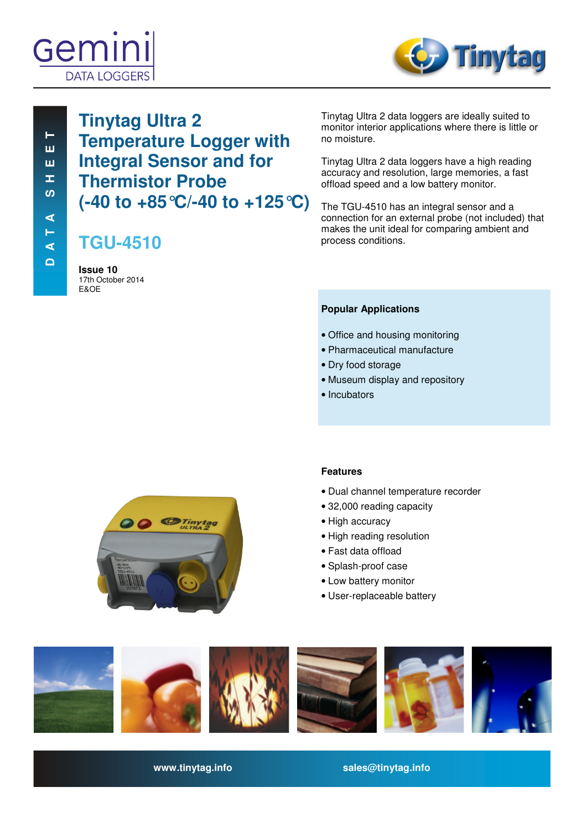# Gemir **DATA LOGGER**



 **D A T A S H E E T D A T A S H E E T**   $\vdash$ ш ш Œ, ທ ⋖ Н ๔  $\Omega$ 

# **Tinytag Ultra 2 Temperature Logger with Integral Sensor and for Thermistor Probe (-40 to +85°C/-40 to +125°C)**

# **TGU-4510**

**Issue 10**  17th October 2014 E&OE

Tinytag Ultra 2 data loggers are ideally suited to monitor interior applications where there is little or no moisture.

Tinytag Ultra 2 data loggers have a high reading accuracy and resolution, large memories, a fast offload speed and a low battery monitor.

The TGU-4510 has an integral sensor and a connection for an external probe (not included) that makes the unit ideal for comparing ambient and process conditions.

# **Popular Applications**

- Office and housing monitoring
- Pharmaceutical manufacture
- Dry food storage
- Museum display and repository
- Incubators



# **Features**

- Dual channel temperature recorder
- 32,000 reading capacity
- High accuracy
- High reading resolution
- Fast data offload
- Splash-proof case
- Low battery monitor
- User-replaceable battery



**www.tinytag.info sales@tinytag.info**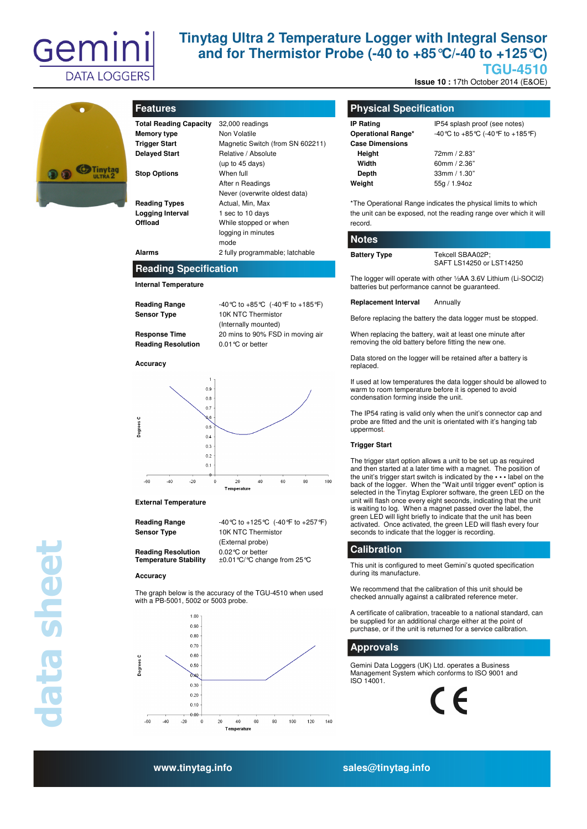

# **Tinytag Ultra 2 Temperature Logger with Integral Sensor and for Thermistor Probe (-40 to +85°C/-40 to +125°C) TGU-4510**

**Issue 10 : 17th October 2014 (E&OE)** 



| <b>Features</b> |  |
|-----------------|--|
|                 |  |

| <b>Total Reading Capacity</b><br>Memory type | 32,000 readings<br>Non Volatile  |
|----------------------------------------------|----------------------------------|
| <b>Trigger Start</b>                         | Magnetic Switch (from SN 602211) |
| <b>Delayed Start</b>                         | Relative / Absolute              |
|                                              | (up to $45$ days)                |
| <b>Stop Options</b>                          | When full                        |
|                                              | After n Readings                 |
|                                              | Never (overwrite oldest data)    |
| <b>Reading Types</b>                         | Actual, Min, Max                 |
| Logging Interval                             | 1 sec to 10 days                 |
| Offload                                      | While stopped or when            |
|                                              | logging in minutes               |
|                                              | mode                             |
| Alarms                                       | 2 fully programmable; latchable  |

### **Reading Specification**

**Internal Temperature** 

| <b>Reading Range</b>      | -40 °C to +85 °C (-40 °F to +185 °F |
|---------------------------|-------------------------------------|
| <b>Sensor Type</b>        | 10K NTC Thermistor                  |
|                           | (Internally mounted)                |
| <b>Response Time</b>      | 20 mins to 90% FSD in moving ai     |
| <b>Doading Docolution</b> | $0.01$ % ar bottor                  |

**Accuracy** 

**Respons Reading** 



#### **External Temperature**

| Reading Range |  |
|---------------|--|
| Sensor Type   |  |

**Reading Range** -40°C to +125°C (-40°F to +257°F) **Sensor Type** 10K NTC Thermistor (External probe) **Reading Resolution** 0.02°C or better<br>**Temperature Stability**  $\pm 0.01$ °C/°C char ±0.01 °C/°C change from 25 °C

#### **Accuracy**

**data sheet** 

Jata sheet

The graph below is the accuracy of the TGU-4510 when used with a PB-5001, 5002 or 5003 probe.



### **Physical Specification**

| <b>IP Rating</b>       | IP54 splash proof (see notes)        |
|------------------------|--------------------------------------|
| Operational Range*     | -40 °C to +85 °C (-40 °F to +185 °F) |
| <b>Case Dimensions</b> |                                      |
| Height                 | 72mm / 2.83"                         |
| Width                  | 60mm $/$ 2.36"                       |
| Depth                  | 33mm / 1.30"                         |
| Weight                 | 55g / 1.94oz                         |
|                        |                                      |

\*The Operational Range indicates the physical limits to which the unit can be exposed, not the reading range over which it will record.

#### **Notes**

Battery Type Tekcell SBAA02P;

SAFT LS14250 or LST14250

The logger will operate with other ½AA 3.6V Lithium (Li-SOCl2) batteries but performance cannot be guaranteed.

#### **Replacement Interval** Annually

Before replacing the battery the data logger must be stopped.

When replacing the battery, wait at least one minute after removing the old battery before fitting the new one.

Data stored on the logger will be retained after a battery is replaced.

If used at low temperatures the data logger should be allowed to warm to room temperature before it is opened to avoid condensation forming inside the unit.

The IP54 rating is valid only when the unit's connector cap and probe are fitted and the unit is orientated with it's hanging tab uppermost.

#### **Trigger Start**

The trigger start option allows a unit to be set up as required and then started at a later time with a magnet. The position of the unit's trigger start switch is indicated by the **• • •** label on the back of the logger. When the "Wait until trigger event" option is selected in the Tinytag Explorer software, the green LED on the unit will flash once every eight seconds, indicating that the unit is waiting to log. When a magnet passed over the label, the green LED will light briefly to indicate that the unit has been activated. Once activated, the green LED will flash every four seconds to indicate that the logger is recording.

#### **Calibration**

This unit is configured to meet Gemini's quoted specification during its manufacture.

We recommend that the calibration of this unit should be checked annually against a calibrated reference meter.

A certificate of calibration, traceable to a national standard, can be supplied for an additional charge either at the point of purchase, or if the unit is returned for a service calibration.

# **Approvals**

Gemini Data Loggers (UK) Ltd. operates a Business Management System which conforms to ISO 9001 and ISO 14001.



**www.tinytag.info sales@tinytag.info**